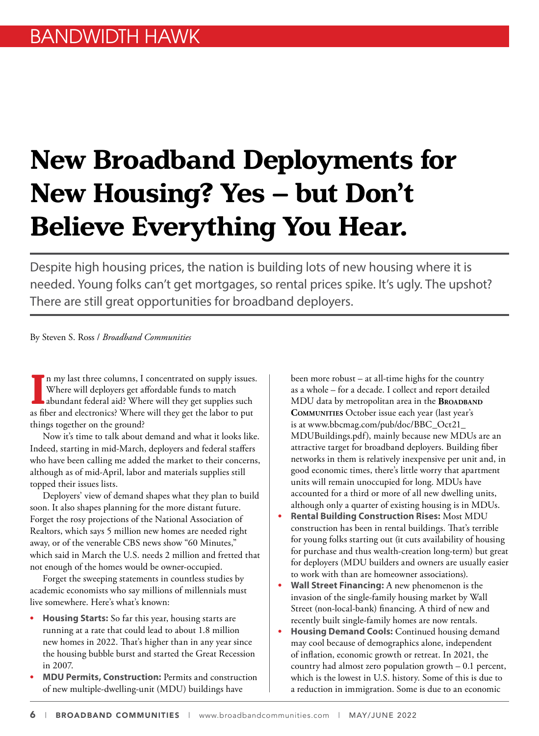## **New Broadband Deployments for New Housing? Yes – but Don't Believe Everything You Hear.**

Despite high housing prices, the nation is building lots of new housing where it is needed. Young folks can't get mortgages, so rental prices spike. It's ugly. The upshot? There are still great opportunities for broadband deployers.

By Steven S. Ross / *Broadband Communities*

In my last three columns, I concentrated on supply issues<br>Where will deployers get affordable funds to match<br>abundant federal aid? Where will they get supplies such<br>as fiber and electronics? Where will they get the labor t n my last three columns, I concentrated on supply issues. Where will deployers get affordable funds to match abundant federal aid? Where will they get supplies such things together on the ground?

Now it's time to talk about demand and what it looks like. Indeed, starting in mid-March, deployers and federal staffers who have been calling me added the market to their concerns, although as of mid-April, labor and materials supplies still topped their issues lists.

Deployers' view of demand shapes what they plan to build soon. It also shapes planning for the more distant future. Forget the rosy projections of the National Association of Realtors, which says 5 million new homes are needed right away, or of the venerable CBS news show "60 Minutes," which said in March the U.S. needs 2 million and fretted that not enough of the homes would be owner-occupied.

Forget the sweeping statements in countless studies by academic economists who say millions of millennials must live somewhere. Here's what's known:

- **• Housing Starts:** So far this year, housing starts are running at a rate that could lead to about 1.8 million new homes in 2022. That's higher than in any year since the housing bubble burst and started the Great Recession in 2007.
- **• MDU Permits, Construction:** Permits and construction of new multiple-dwelling-unit (MDU) buildings have

been more robust – at all-time highs for the country as a whole – for a decade. I collect and report detailed MDU data by metropolitan area in the **Broadband Communities** October issue each year (last year's is at www.bbcmag.com/pub/doc/BBC\_Oct21\_ MDUBuildings.pdf), mainly because new MDUs are an attractive target for broadband deployers. Building fiber networks in them is relatively inexpensive per unit and, in good economic times, there's little worry that apartment units will remain unoccupied for long. MDUs have accounted for a third or more of all new dwelling units, although only a quarter of existing housing is in MDUs.

- **• Rental Building Construction Rises:** Most MDU construction has been in rental buildings. That's terrible for young folks starting out (it cuts availability of housing for purchase and thus wealth-creation long-term) but great for deployers (MDU builders and owners are usually easier to work with than are homeowner associations).
- **• Wall Street Financing:** A new phenomenon is the invasion of the single-family housing market by Wall Street (non-local-bank) financing. A third of new and recently built single-family homes are now rentals.
- **• Housing Demand Cools:** Continued housing demand may cool because of demographics alone, independent of inflation, economic growth or retreat. In 2021, the country had almost zero population growth – 0.1 percent, which is the lowest in U.S. history. Some of this is due to a reduction in immigration. Some is due to an economic